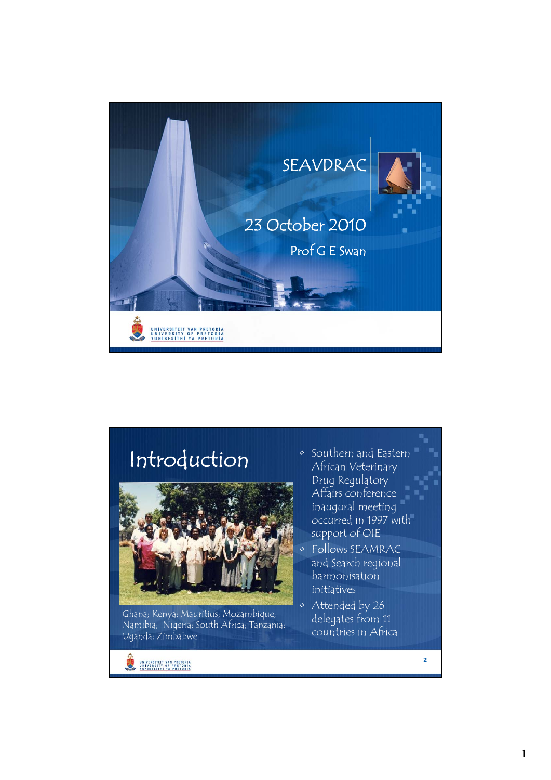

### Introduction • Southern and Eastern



Ghana; Kenya; Mauritius; Mozambique; Namibia; Nigeria; South Africa; Tanzania; Uganda; Zimbabwe

UNIVERSITEIT VAN PRETORIA

- African Veterinary Drug Regulatory Affairs conference inaugural meeting occurred in 1997 with support of OIE
- Follows SEAMRAC and Search regional harmonisation initiatives
- Attended by 26 delegates from 11 countries in Africa

**2**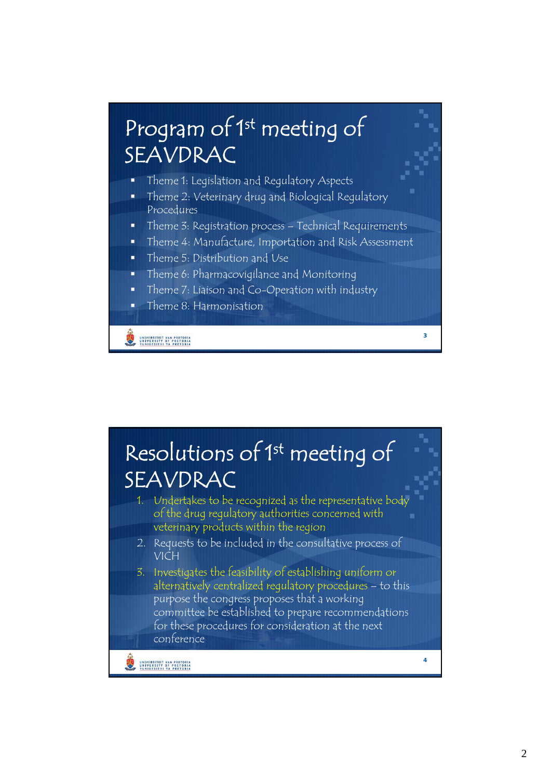# Program of 1<sup>st</sup> meeting of SEAVDRAC

- $\blacksquare$  Theme 1: Legislation and Regulatory Aspects
- Theme 2: Veterinary drug and Biological Regulatory Procedures
- Theme 3: Registration process Technical Requirements
- Theme 4: Manufacture, Importation and Risk Assessment

**3**

- Theme 5: Distribution and Use
- Theme 6: Pharmacovigilance and Monitoring
- Theme 7: Liaison and Co-Operation with industry
- Theme 8: Harmonisation

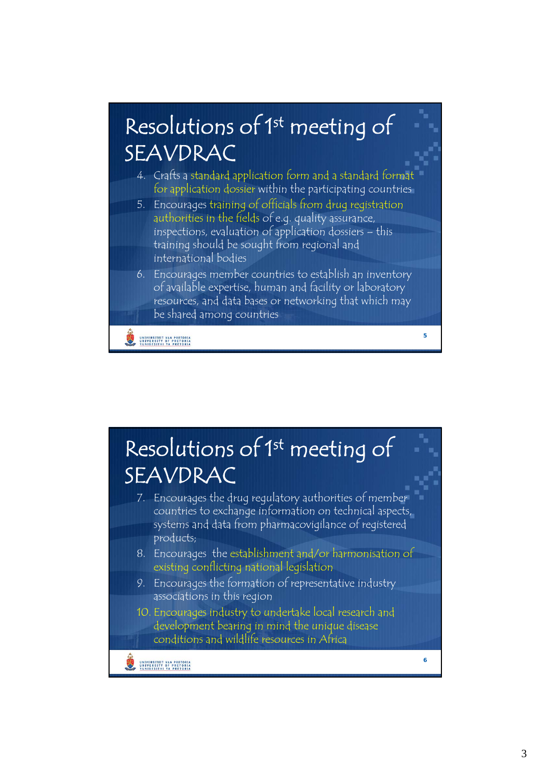## Resolutions of 1<sup>st</sup> meeting of SEAVDRAC

- 4. Crafts a standard application form and a standard format for application dossier within the participating countries
- 5. Encourages training of officials from drug registration authorities in the fields of e.g. quality assurance, inspections, evaluation of application dossiers – this training should be sought from regional and international bodies
- 6. Encourages member countries to establish an inventory of available expertise, human and facility or laboratory resources, and data bases or networking that which may be shared among countries

**5**

**6**

UNIVERSITEIT VAN PRETORIA

#### 7. Encourages the drug regulatory authorities of member countries to exchange information on technical aspects, Resolutions of 1<sup>st</sup> meeting of SEAVDRAC systems and data from pharmacovigilance of registered products; 8. Encourages the establishment and/or harmonisation of existing conflicting national legislation 9. Encourages the formation of representative industry associations in this region 10. Encourages industry to undertake local research and development bearing in mind the unique disease conditions and wildlife resources in Africa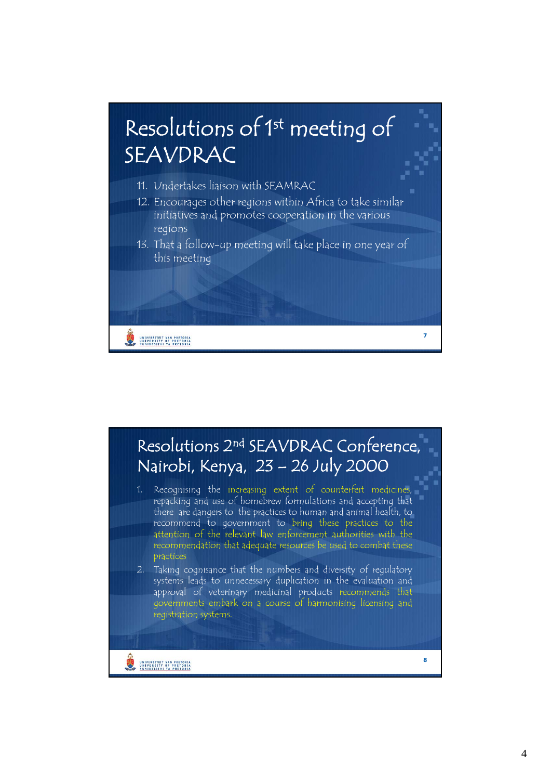

#### Resolutions 2nd SEAVDRAC Conference, Nairobi, Kenya, 23 – 26 July 2000

1. Recognising the increasing extent of counterfeit medicines, repacking and use of homebrew formulations and accepting that there are dangers to the practices to human and animal health, to recommend to government to bring these practices to the attention of the relevant law enforcement authorities with the recommendation that adequate resources be used to combat these practices

2. Taking cognisance that the numbers and diversity of regulatory systems leads to unnecessary duplication in the evaluation and approval of veterinary medicinal products recommends that governments embark on a course of harmonising licensing and registration systems.

UNIVERSITEIT VAN PRETORIA

**8**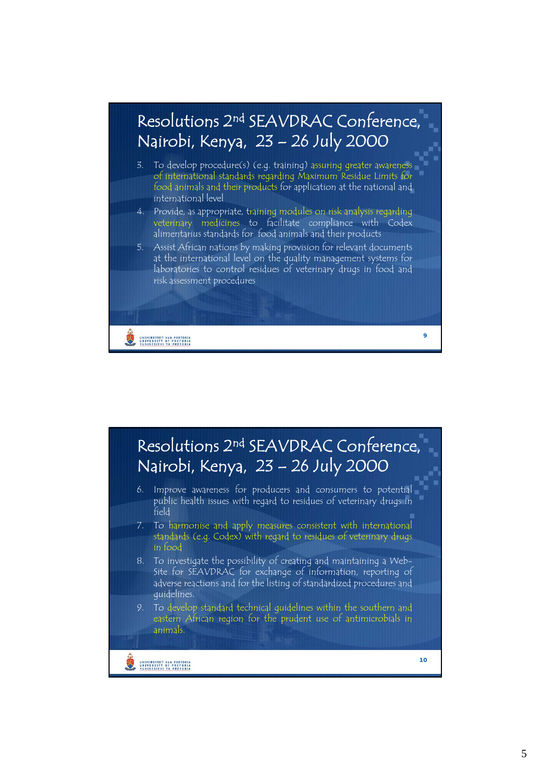

- 3. To develop procedure(s) (e.g. training) assuring greater awareness of international standards regarding Maximum Residue Limits for food animals and their products for application at the national and international level
- 4. Provide, as appropriate, training modules on risk analysis regarding veterinary medicines to facilitate compliance with Codex alimentarius standards for food animals and their products
- 5. Assist African nations by making provision for relevant documents at the international level on the quality management systems for laboratories to control residues of veterinary drugs in food and risk assessment procedures

**9**

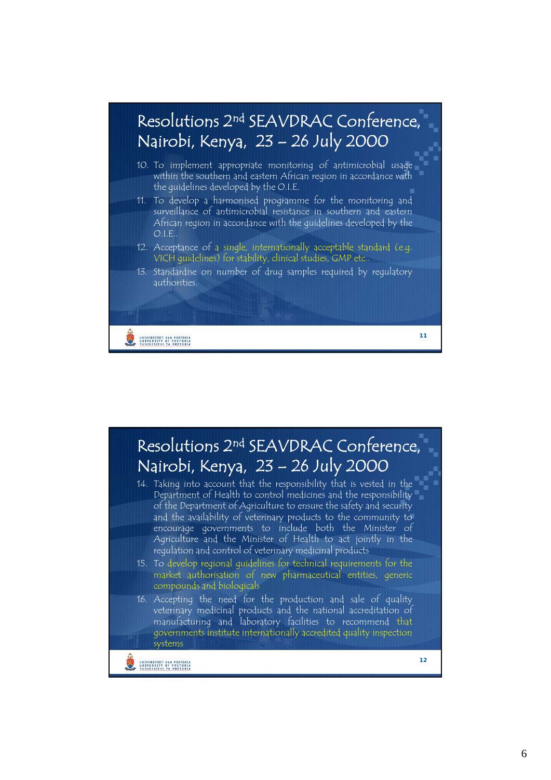

- 12. Acceptance of a single, internationally acceptable standard (e.g. VICH guidelines) for stability, clinical studies, GMP etc..
- 13. Standardise on number of drug samples required by regulatory authorities.

**11**

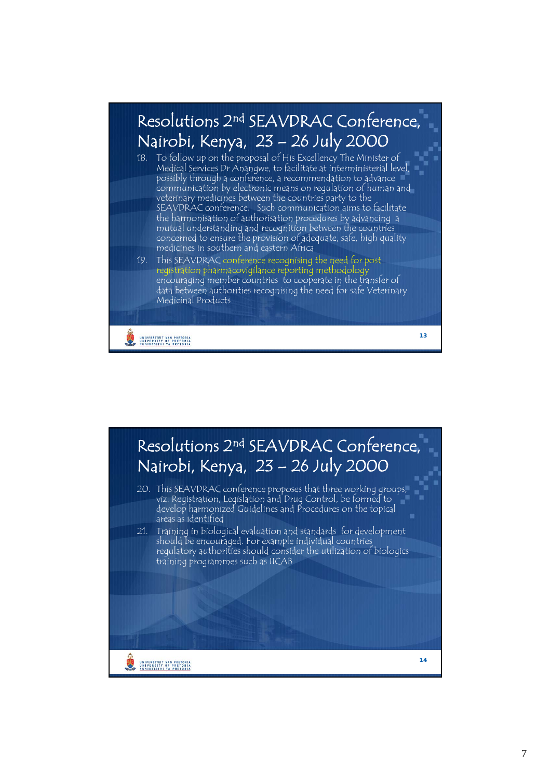